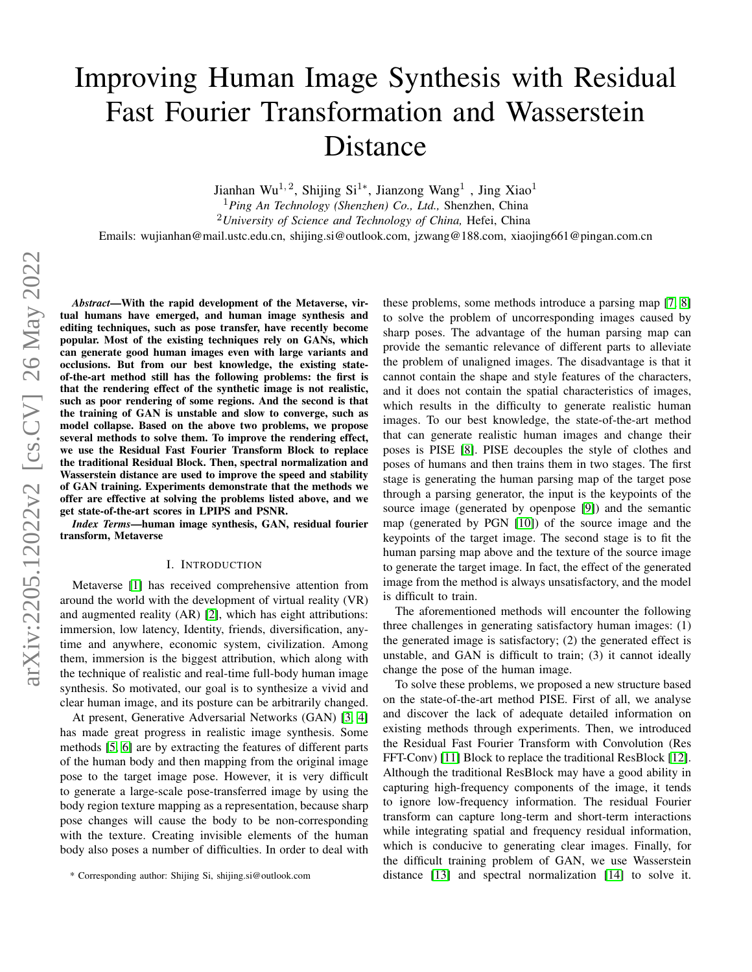# Improving Human Image Synthesis with Residual Fast Fourier Transformation and Wasserstein Distance

Jianhan Wu<sup>1, 2</sup>, Shijing Si<sup>1</sup>\*, Jianzong Wang<sup>1</sup>, Jing Xiao<sup>1</sup>

<sup>1</sup>*Ping An Technology (Shenzhen) Co., Ltd.,* Shenzhen, China

<sup>2</sup>*University of Science and Technology of China,* Hefei, China

Emails: wujianhan@mail.ustc.edu.cn, shijing.si@outlook.com, jzwang@188.com, xiaojing661@pingan.com.cn

*Abstract*—With the rapid development of the Metaverse, virtual humans have emerged, and human image synthesis and editing techniques, such as pose transfer, have recently become popular. Most of the existing techniques rely on GANs, which can generate good human images even with large variants and occlusions. But from our best knowledge, the existing stateof-the-art method still has the following problems: the first is that the rendering effect of the synthetic image is not realistic, such as poor rendering of some regions. And the second is that the training of GAN is unstable and slow to converge, such as model collapse. Based on the above two problems, we propose several methods to solve them. To improve the rendering effect, we use the Residual Fast Fourier Transform Block to replace the traditional Residual Block. Then, spectral normalization and Wasserstein distance are used to improve the speed and stability of GAN training. Experiments demonstrate that the methods we offer are effective at solving the problems listed above, and we get state-of-the-art scores in LPIPS and PSNR.

*Index Terms*—human image synthesis, GAN, residual fourier transform, Metaverse

# I. INTRODUCTION

Metaverse [\[1\]](#page-6-0) has received comprehensive attention from around the world with the development of virtual reality (VR) and augmented reality (AR) [\[2\]](#page-6-1), which has eight attributions: immersion, low latency, Identity, friends, diversification, anytime and anywhere, economic system, civilization. Among them, immersion is the biggest attribution, which along with the technique of realistic and real-time full-body human image synthesis. So motivated, our goal is to synthesize a vivid and clear human image, and its posture can be arbitrarily changed.

At present, Generative Adversarial Networks (GAN) [\[3,](#page-6-2) [4\]](#page-6-3) has made great progress in realistic image synthesis. Some methods [\[5,](#page-6-4) [6\]](#page-6-5) are by extracting the features of different parts of the human body and then mapping from the original image pose to the target image pose. However, it is very difficult to generate a large-scale pose-transferred image by using the body region texture mapping as a representation, because sharp pose changes will cause the body to be non-corresponding with the texture. Creating invisible elements of the human body also poses a number of difficulties. In order to deal with these problems, some methods introduce a parsing map [\[7,](#page-6-6) [8\]](#page-6-7) to solve the problem of uncorresponding images caused by sharp poses. The advantage of the human parsing map can provide the semantic relevance of different parts to alleviate the problem of unaligned images. The disadvantage is that it cannot contain the shape and style features of the characters, and it does not contain the spatial characteristics of images, which results in the difficulty to generate realistic human images. To our best knowledge, the state-of-the-art method that can generate realistic human images and change their poses is PISE [\[8\]](#page-6-7). PISE decouples the style of clothes and poses of humans and then trains them in two stages. The first stage is generating the human parsing map of the target pose through a parsing generator, the input is the keypoints of the source image (generated by openpose [\[9\]](#page-6-8)) and the semantic map (generated by PGN [\[10\]](#page-6-9)) of the source image and the keypoints of the target image. The second stage is to fit the human parsing map above and the texture of the source image to generate the target image. In fact, the effect of the generated image from the method is always unsatisfactory, and the model is difficult to train.

The aforementioned methods will encounter the following three challenges in generating satisfactory human images: (1) the generated image is satisfactory; (2) the generated effect is unstable, and GAN is difficult to train; (3) it cannot ideally change the pose of the human image.

To solve these problems, we proposed a new structure based on the state-of-the-art method PISE. First of all, we analyse and discover the lack of adequate detailed information on existing methods through experiments. Then, we introduced the Residual Fast Fourier Transform with Convolution (Res FFT-Conv) [\[11\]](#page-6-10) Block to replace the traditional ResBlock [\[12\]](#page-6-11). Although the traditional ResBlock may have a good ability in capturing high-frequency components of the image, it tends to ignore low-frequency information. The residual Fourier transform can capture long-term and short-term interactions while integrating spatial and frequency residual information, which is conducive to generating clear images. Finally, for the difficult training problem of GAN, we use Wasserstein distance [\[13\]](#page-6-12) and spectral normalization [\[14\]](#page-6-13) to solve it.

<sup>\*</sup> Corresponding author: Shijing Si, shijing.si@outlook.com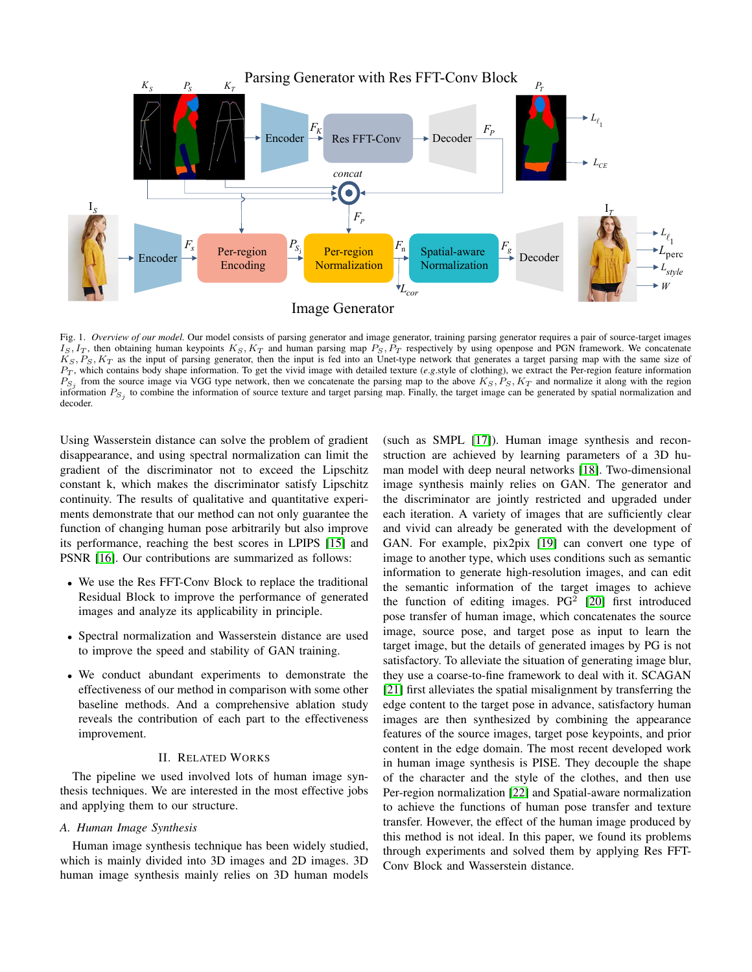

<span id="page-1-0"></span>Fig. 1. *Overview of our model*. Our model consists of parsing generator and image generator, training parsing generator requires a pair of source-target images  $I_S, I_T$ , then obtaining human keypoints  $K_S, K_T$  and human parsing map  $P_S, P_T$  respectively by using openpose and PGN framework. We concatenate  $K_S, P_S, K_T$  as the input of parsing generator, then the input is fed into an Unet-type network that generates a target parsing map with the same size of P<sup>T</sup> , which contains body shape information. To get the vivid image with detailed texture (*e*.*g*.style of clothing), we extract the Per-region feature information  $P_{S_j}$  from the source image via VGG type network, then we concatenate the parsing map to the above  $K_S, P_S, K_T$  and normalize it along with the region information  $P_{S_j}$  to combine the information of source texture and target parsing map. Finally, the target image can be generated by spatial normalization and decoder.

Using Wasserstein distance can solve the problem of gradient disappearance, and using spectral normalization can limit the gradient of the discriminator not to exceed the Lipschitz constant k, which makes the discriminator satisfy Lipschitz continuity. The results of qualitative and quantitative experiments demonstrate that our method can not only guarantee the function of changing human pose arbitrarily but also improve its performance, reaching the best scores in LPIPS [\[15\]](#page-6-14) and PSNR [\[16\]](#page-6-15). Our contributions are summarized as follows:

- We use the Res FFT-Conv Block to replace the traditional Residual Block to improve the performance of generated images and analyze its applicability in principle.
- Spectral normalization and Wasserstein distance are used to improve the speed and stability of GAN training.
- We conduct abundant experiments to demonstrate the effectiveness of our method in comparison with some other baseline methods. And a comprehensive ablation study reveals the contribution of each part to the effectiveness improvement.

# II. RELATED WORKS

The pipeline we used involved lots of human image synthesis techniques. We are interested in the most effective jobs and applying them to our structure.

## *A. Human Image Synthesis*

Human image synthesis technique has been widely studied, which is mainly divided into 3D images and 2D images. 3D human image synthesis mainly relies on 3D human models (such as SMPL [\[17\]](#page-6-16)). Human image synthesis and reconstruction are achieved by learning parameters of a 3D human model with deep neural networks [\[18\]](#page-6-17). Two-dimensional image synthesis mainly relies on GAN. The generator and the discriminator are jointly restricted and upgraded under each iteration. A variety of images that are sufficiently clear and vivid can already be generated with the development of GAN. For example, pix2pix [\[19\]](#page-7-0) can convert one type of image to another type, which uses conditions such as semantic information to generate high-resolution images, and can edit the semantic information of the target images to achieve the function of editing images.  $PG<sup>2</sup>$  [\[20\]](#page-7-1) first introduced pose transfer of human image, which concatenates the source image, source pose, and target pose as input to learn the target image, but the details of generated images by PG is not satisfactory. To alleviate the situation of generating image blur, they use a coarse-to-fine framework to deal with it. SCAGAN [\[21\]](#page-7-2) first alleviates the spatial misalignment by transferring the edge content to the target pose in advance, satisfactory human images are then synthesized by combining the appearance features of the source images, target pose keypoints, and prior content in the edge domain. The most recent developed work in human image synthesis is PISE. They decouple the shape of the character and the style of the clothes, and then use Per-region normalization [\[22\]](#page-7-3) and Spatial-aware normalization to achieve the functions of human pose transfer and texture transfer. However, the effect of the human image produced by this method is not ideal. In this paper, we found its problems through experiments and solved them by applying Res FFT-Conv Block and Wasserstein distance.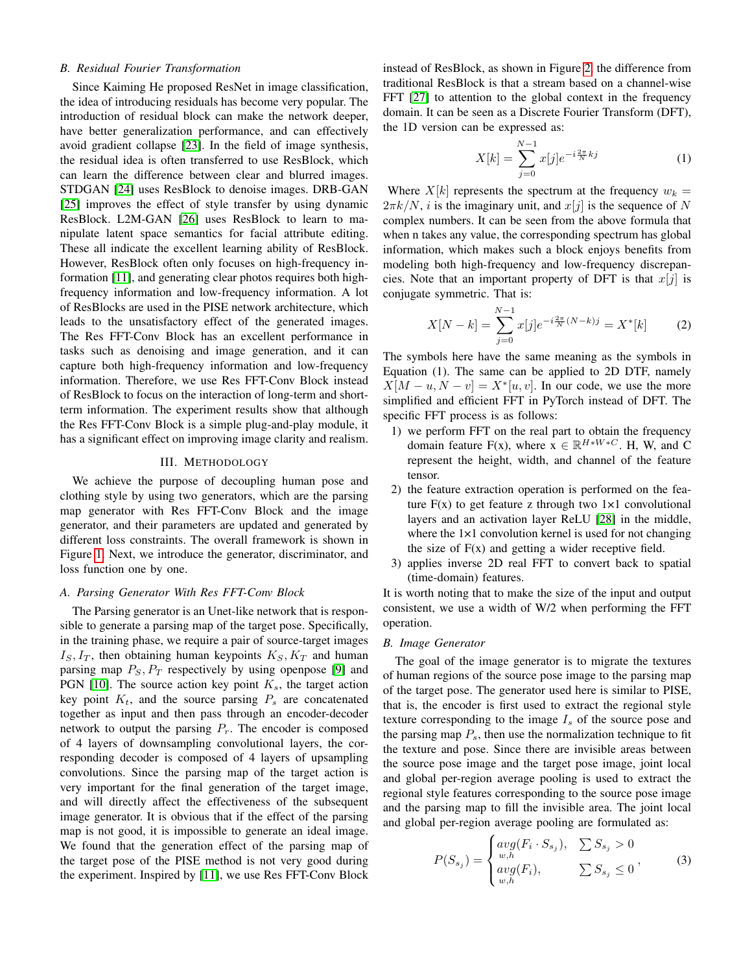# *B. Residual Fourier Transformation*

Since Kaiming He proposed ResNet in image classification, the idea of introducing residuals has become very popular. The introduction of residual block can make the network deeper, have better generalization performance, and can effectively avoid gradient collapse [\[23\]](#page-7-4). In the field of image synthesis, the residual idea is often transferred to use ResBlock, which can learn the difference between clear and blurred images. STDGAN [\[24\]](#page-7-5) uses ResBlock to denoise images. DRB-GAN [\[25\]](#page-7-6) improves the effect of style transfer by using dynamic ResBlock. L2M-GAN [\[26\]](#page-7-7) uses ResBlock to learn to manipulate latent space semantics for facial attribute editing. These all indicate the excellent learning ability of ResBlock. However, ResBlock often only focuses on high-frequency information [\[11\]](#page-6-10), and generating clear photos requires both highfrequency information and low-frequency information. A lot of ResBlocks are used in the PISE network architecture, which leads to the unsatisfactory effect of the generated images. The Res FFT-Conv Block has an excellent performance in tasks such as denoising and image generation, and it can capture both high-frequency information and low-frequency information. Therefore, we use Res FFT-Conv Block instead of ResBlock to focus on the interaction of long-term and shortterm information. The experiment results show that although the Res FFT-Conv Block is a simple plug-and-play module, it has a significant effect on improving image clarity and realism.

## III. METHODOLOGY

We achieve the purpose of decoupling human pose and clothing style by using two generators, which are the parsing map generator with Res FFT-Conv Block and the image generator, and their parameters are updated and generated by different loss constraints. The overall framework is shown in Figure [1.](#page-1-0) Next, we introduce the generator, discriminator, and loss function one by one.

# *A. Parsing Generator With Res FFT-Conv Block*

The Parsing generator is an Unet-like network that is responsible to generate a parsing map of the target pose. Specifically, in the training phase, we require a pair of source-target images  $I_S, I_T$ , then obtaining human keypoints  $K_S, K_T$  and human parsing map  $P_S$ ,  $P_T$  respectively by using openpose [\[9\]](#page-6-8) and PGN [\[10\]](#page-6-9). The source action key point  $K_s$ , the target action key point  $K_t$ , and the source parsing  $P_s$  are concatenated together as input and then pass through an encoder-decoder network to output the parsing  $P_r$ . The encoder is composed of 4 layers of downsampling convolutional layers, the corresponding decoder is composed of 4 layers of upsampling convolutions. Since the parsing map of the target action is very important for the final generation of the target image, and will directly affect the effectiveness of the subsequent image generator. It is obvious that if the effect of the parsing map is not good, it is impossible to generate an ideal image. We found that the generation effect of the parsing map of the target pose of the PISE method is not very good during the experiment. Inspired by [\[11\]](#page-6-10), we use Res FFT-Conv Block instead of ResBlock, as shown in Figure [2,](#page-3-0) the difference from traditional ResBlock is that a stream based on a channel-wise FFT [\[27\]](#page-7-8) to attention to the global context in the frequency domain. It can be seen as a Discrete Fourier Transform (DFT), the 1D version can be expressed as:

$$
X[k] = \sum_{j=0}^{N-1} x[j] e^{-i\frac{2\pi}{N}kj} \tag{1}
$$

Where  $X[k]$  represents the spectrum at the frequency  $w_k =$  $2\pi k/N$ , *i* is the imaginary unit, and  $x[j]$  is the sequence of N complex numbers. It can be seen from the above formula that when n takes any value, the corresponding spectrum has global information, which makes such a block enjoys benefits from modeling both high-frequency and low-frequency discrepancies. Note that an important property of DFT is that  $x[j]$  is conjugate symmetric. That is:

$$
X[N-k] = \sum_{j=0}^{N-1} x[j] e^{-i\frac{2\pi}{N}(N-k)j} = X^*[k] \tag{2}
$$

The symbols here have the same meaning as the symbols in Equation (1). The same can be applied to 2D DTF, namely  $X[M - u, N - v] = X^*[u, v]$ . In our code, we use the more simplified and efficient FFT in PyTorch instead of DFT. The specific FFT process is as follows:

- 1) we perform FFT on the real part to obtain the frequency domain feature  $F(x)$ , where  $x \in \mathbb{R}^{H*W*C}$ . H, W, and C represent the height, width, and channel of the feature tensor.
- 2) the feature extraction operation is performed on the feature  $F(x)$  to get feature z through two  $1 \times 1$  convolutional layers and an activation layer ReLU [\[28\]](#page-7-9) in the middle, where the  $1\times1$  convolution kernel is used for not changing the size of  $F(x)$  and getting a wider receptive field.
- 3) applies inverse 2D real FFT to convert back to spatial (time-domain) features.

It is worth noting that to make the size of the input and output consistent, we use a width of W/2 when performing the FFT operation.

## *B. Image Generator*

The goal of the image generator is to migrate the textures of human regions of the source pose image to the parsing map of the target pose. The generator used here is similar to PISE, that is, the encoder is first used to extract the regional style texture corresponding to the image  $I_s$  of the source pose and the parsing map  $P_s$ , then use the normalization technique to fit the texture and pose. Since there are invisible areas between the source pose image and the target pose image, joint local and global per-region average pooling is used to extract the regional style features corresponding to the source pose image and the parsing map to fill the invisible area. The joint local and global per-region average pooling are formulated as:

$$
P(S_{s_j}) = \begin{cases} avg(F_i \cdot S_{s_j}), & \sum S_{s_j} > 0\\ w, & \sum S_{s_j} \le 0\\ w, & \sum S_{s_j} \le 0 \end{cases} \tag{3}
$$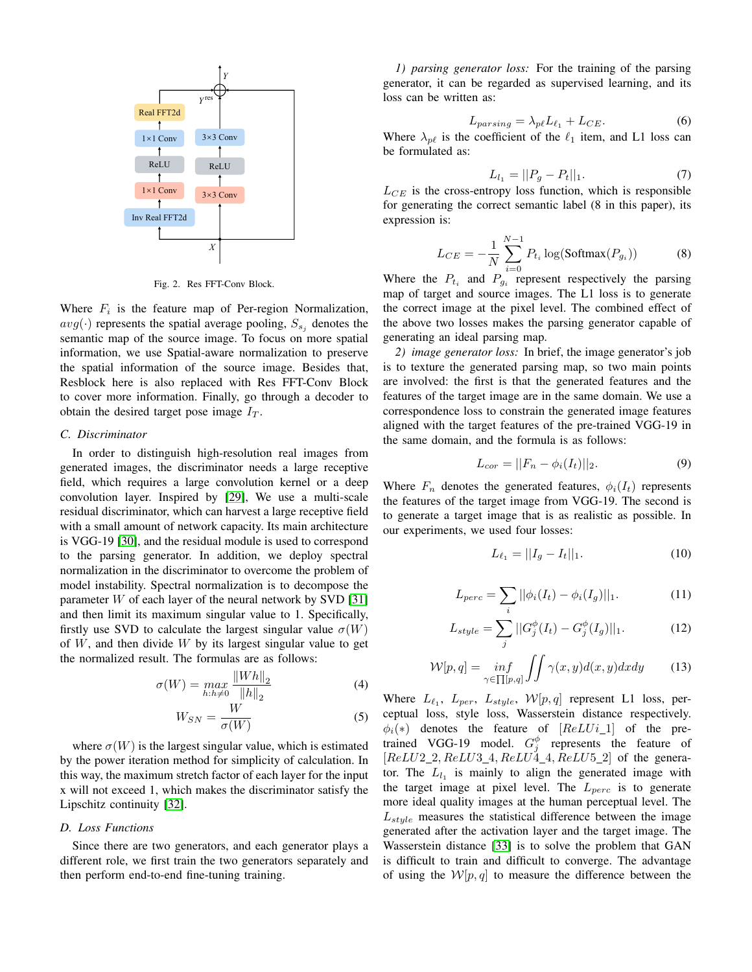

<span id="page-3-0"></span>Fig. 2. Res FFT-Conv Block.

Where  $F_i$  is the feature map of Per-region Normalization,  $avg(\cdot)$  represents the spatial average pooling,  $S_{s_i}$  denotes the semantic map of the source image. To focus on more spatial information, we use Spatial-aware normalization to preserve the spatial information of the source image. Besides that, Resblock here is also replaced with Res FFT-Conv Block to cover more information. Finally, go through a decoder to obtain the desired target pose image  $I_T$ .

# *C. Discriminator*

In order to distinguish high-resolution real images from generated images, the discriminator needs a large receptive field, which requires a large convolution kernel or a deep convolution layer. Inspired by [\[29\]](#page-7-10), We use a multi-scale residual discriminator, which can harvest a large receptive field with a small amount of network capacity. Its main architecture is VGG-19 [\[30\]](#page-7-11), and the residual module is used to correspond to the parsing generator. In addition, we deploy spectral normalization in the discriminator to overcome the problem of model instability. Spectral normalization is to decompose the parameter  $W$  of each layer of the neural network by SVD [\[31\]](#page-7-12) and then limit its maximum singular value to 1. Specifically, firstly use SVD to calculate the largest singular value  $\sigma(W)$ of  $W$ , and then divide  $W$  by its largest singular value to get the normalized result. The formulas are as follows:

$$
\sigma(W) = \max_{h:h \neq 0} \frac{\|Wh\|_2}{\|h\|_2} \tag{4}
$$

$$
W_{SN} = \frac{W}{\sigma(W)}\tag{5}
$$

where  $\sigma(W)$  is the largest singular value, which is estimated by the power iteration method for simplicity of calculation. In this way, the maximum stretch factor of each layer for the input x will not exceed 1, which makes the discriminator satisfy the Lipschitz continuity [\[32\]](#page-7-13).

## *D. Loss Functions*

Since there are two generators, and each generator plays a different role, we first train the two generators separately and then perform end-to-end fine-tuning training.

*1) parsing generator loss:* For the training of the parsing generator, it can be regarded as supervised learning, and its loss can be written as:

$$
L_{parsing} = \lambda_{p\ell} L_{\ell_1} + L_{CE}.\tag{6}
$$

3×3 Conv Where  $\lambda_{p\ell}$  is the coefficient of the  $\ell_1$  item, and L1 loss can be formulated as:

$$
L_{l_1} = ||P_g - P_t||_1. \tag{7}
$$

 $L_{CE}$  is the cross-entropy loss function, which is responsible for generating the correct semantic label (8 in this paper), its expression is:

$$
L_{CE} = -\frac{1}{N} \sum_{i=0}^{N-1} P_{t_i} \log(\text{Softmax}(P_{g_i}))
$$
 (8)

Where the  $P_{t_i}$  and  $P_{g_i}$  represent respectively the parsing map of target and source images. The L1 loss is to generate the correct image at the pixel level. The combined effect of the above two losses makes the parsing generator capable of generating an ideal parsing map.

*2) image generator loss:* In brief, the image generator's job is to texture the generated parsing map, so two main points are involved: the first is that the generated features and the features of the target image are in the same domain. We use a correspondence loss to constrain the generated image features aligned with the target features of the pre-trained VGG-19 in the same domain, and the formula is as follows:

$$
L_{cor} = ||F_n - \phi_i(I_t)||_2.
$$
 (9)

Where  $F_n$  denotes the generated features,  $\phi_i(I_t)$  represents the features of the target image from VGG-19. The second is to generate a target image that is as realistic as possible. In our experiments, we used four losses:

$$
L_{\ell_1} = ||I_g - I_t||_1. \tag{10}
$$

$$
L_{perc} = \sum_{i} ||\phi_i(I_t) - \phi_i(I_g)||_1.
$$
 (11)

$$
L_{style} = \sum_{j} ||G_{j}^{\phi}(I_{t}) - G_{j}^{\phi}(I_{g})||_{1}.
$$
 (12)

$$
\mathcal{W}[p,q] = \inf_{\gamma \in \prod[p,q]} \iint \gamma(x,y)d(x,y)dxdy \tag{13}
$$

Where  $L_{\ell_1}$ ,  $L_{per}$ ,  $L_{style}$ ,  $W[p, q]$  represent L1 loss, perceptual loss, style loss, Wasserstein distance respectively.  $\phi_i(*)$  denotes the feature of  $[ReLU_i_1]$  of the pretrained VGG-19 model.  $G_j^{\phi}$  represents the feature of  $[ReLU2_2, ReLU3_4, ReLU4_4, ReLU5_2]$  of the generator. The  $L_{l_1}$  is mainly to align the generated image with the target image at pixel level. The  $L_{perc}$  is to generate more ideal quality images at the human perceptual level. The  $L_{style}$  measures the statistical difference between the image generated after the activation layer and the target image. The Wasserstein distance [\[33\]](#page-7-14) is to solve the problem that GAN is difficult to train and difficult to converge. The advantage of using the  $W[p, q]$  to measure the difference between the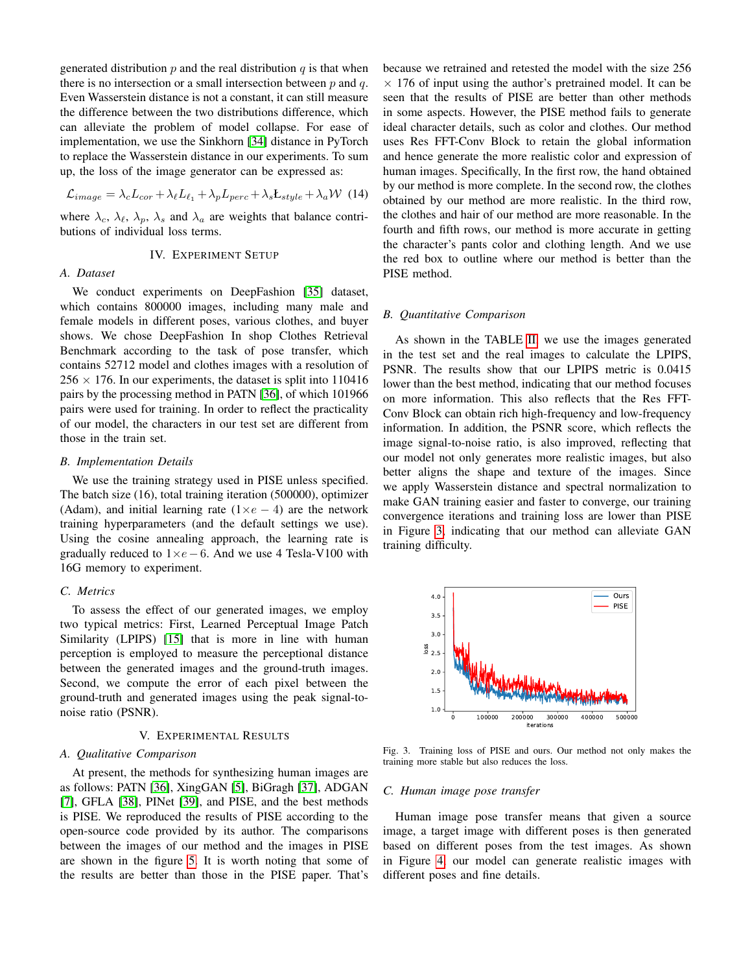generated distribution  $p$  and the real distribution  $q$  is that when there is no intersection or a small intersection between  $p$  and  $q$ . Even Wasserstein distance is not a constant, it can still measure the difference between the two distributions difference, which can alleviate the problem of model collapse. For ease of implementation, we use the Sinkhorn [\[34\]](#page-7-15) distance in PyTorch to replace the Wasserstein distance in our experiments. To sum up, the loss of the image generator can be expressed as:

$$
\mathcal{L}_{image} = \lambda_c L_{cor} + \lambda_{\ell} L_{\ell_1} + \lambda_p L_{perc} + \lambda_s L_{style} + \lambda_a \mathcal{W}
$$
 (14)

where  $\lambda_c$ ,  $\lambda_{\ell}$ ,  $\lambda_p$ ,  $\lambda_s$  and  $\lambda_a$  are weights that balance contributions of individual loss terms.

# IV. EXPERIMENT SETUP

# *A. Dataset*

We conduct experiments on DeepFashion [\[35\]](#page-7-16) dataset, which contains 800000 images, including many male and female models in different poses, various clothes, and buyer shows. We chose DeepFashion In shop Clothes Retrieval Benchmark according to the task of pose transfer, which contains 52712 model and clothes images with a resolution of  $256 \times 176$ . In our experiments, the dataset is split into 110416 pairs by the processing method in PATN [\[36\]](#page-7-17), of which 101966 pairs were used for training. In order to reflect the practicality of our model, the characters in our test set are different from those in the train set.

#### *B. Implementation Details*

We use the training strategy used in PISE unless specified. The batch size (16), total training iteration (500000), optimizer (Adam), and initial learning rate  $(1 \times e - 4)$  are the network training hyperparameters (and the default settings we use). Using the cosine annealing approach, the learning rate is gradually reduced to  $1 \times e - 6$ . And we use 4 Tesla-V100 with 16G memory to experiment.

## *C. Metrics*

To assess the effect of our generated images, we employ two typical metrics: First, Learned Perceptual Image Patch Similarity (LPIPS) [\[15\]](#page-6-14) that is more in line with human perception is employed to measure the perceptional distance between the generated images and the ground-truth images. Second, we compute the error of each pixel between the ground-truth and generated images using the peak signal-tonoise ratio (PSNR).

# V. EXPERIMENTAL RESULTS

## *A. Qualitative Comparison*

At present, the methods for synthesizing human images are as follows: PATN [\[36\]](#page-7-17), XingGAN [\[5\]](#page-6-4), BiGragh [\[37\]](#page-7-18), ADGAN [\[7\]](#page-6-6), GFLA [\[38\]](#page-7-19), PINet [\[39\]](#page-7-20), and PISE, and the best methods is PISE. We reproduced the results of PISE according to the open-source code provided by its author. The comparisons between the images of our method and the images in PISE are shown in the figure [5.](#page-6-18) It is worth noting that some of the results are better than those in the PISE paper. That's because we retrained and retested the model with the size 256  $\times$  176 of input using the author's pretrained model. It can be seen that the results of PISE are better than other methods in some aspects. However, the PISE method fails to generate ideal character details, such as color and clothes. Our method uses Res FFT-Conv Block to retain the global information and hence generate the more realistic color and expression of human images. Specifically, In the first row, the hand obtained by our method is more complete. In the second row, the clothes obtained by our method are more realistic. In the third row, the clothes and hair of our method are more reasonable. In the fourth and fifth rows, our method is more accurate in getting the character's pants color and clothing length. And we use the red box to outline where our method is better than the PISE method.

# *B. Quantitative Comparison*

As shown in the TABLE [II,](#page-5-0) we use the images generated in the test set and the real images to calculate the LPIPS, PSNR. The results show that our LPIPS metric is 0.0415 lower than the best method, indicating that our method focuses on more information. This also reflects that the Res FFT-Conv Block can obtain rich high-frequency and low-frequency information. In addition, the PSNR score, which reflects the image signal-to-noise ratio, is also improved, reflecting that our model not only generates more realistic images, but also better aligns the shape and texture of the images. Since we apply Wasserstein distance and spectral normalization to make GAN training easier and faster to converge, our training convergence iterations and training loss are lower than PISE in Figure [3,](#page-4-0) indicating that our method can alleviate GAN training difficulty.



<span id="page-4-0"></span>Fig. 3. Training loss of PISE and ours. Our method not only makes the training more stable but also reduces the loss.

# *C. Human image pose transfer*

Human image pose transfer means that given a source image, a target image with different poses is then generated based on different poses from the test images. As shown in Figure [4,](#page-5-1) our model can generate realistic images with different poses and fine details.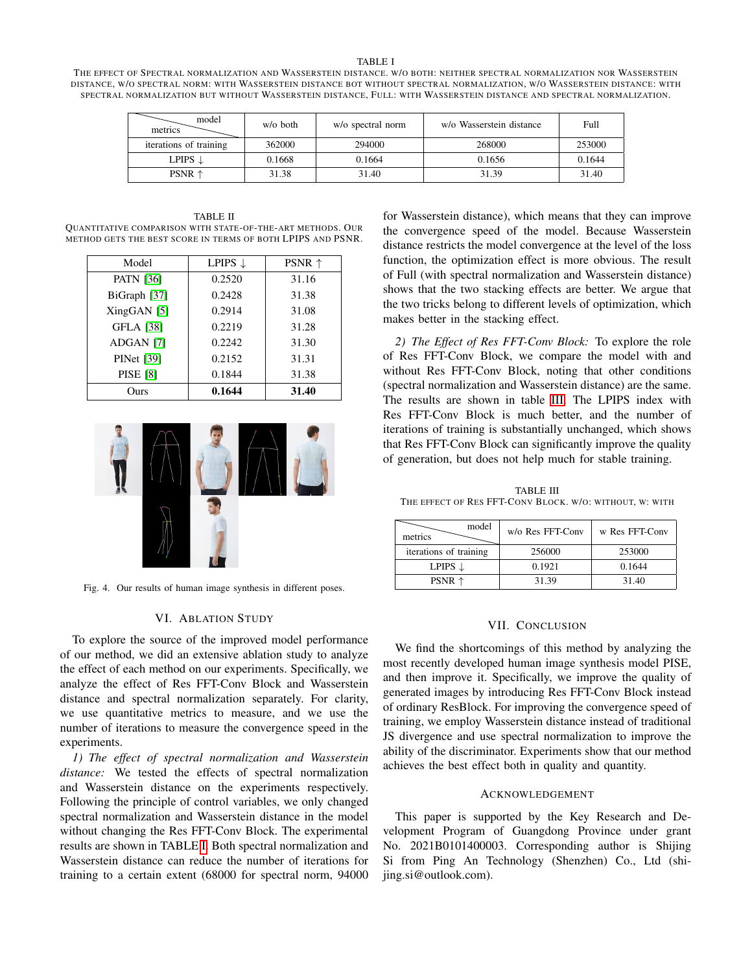<span id="page-5-2"></span>THE EFFECT OF SPECTRAL NORMALIZATION AND WASSERSTEIN DISTANCE. W/O BOTH: NEITHER SPECTRAL NORMALIZATION NOR WASSERSTEIN DISTANCE, W/O SPECTRAL NORM: WITH WASSERSTEIN DISTANCE BOT WITHOUT SPECTRAL NORMALIZATION, W/O WASSERSTEIN DISTANCE: WITH SPECTRAL NORMALIZATION BUT WITHOUT WASSERSTEIN DISTANCE, FULL: WITH WASSERSTEIN DISTANCE AND SPECTRAL NORMALIZATION.

| model<br>metrics       | $w/o$ both | w/o spectral norm | w/o Wasserstein distance | Full   |
|------------------------|------------|-------------------|--------------------------|--------|
| iterations of training | 362000     | 294000            | 268000                   | 253000 |
| LPIPS $\downarrow$     | 0.1668     | 0.1664            | 0.1656                   | 0.1644 |
| PSNR $\uparrow$        | 31.38      | 31.40             | 31.39                    | 31.40  |

<span id="page-5-0"></span>TABLE II QUANTITATIVE COMPARISON WITH STATE-OF-THE-ART METHODS. OUR METHOD GETS THE BEST SCORE IN TERMS OF BOTH LPIPS AND PSNR.

| Model             | LPIPS 1 | PSNR $\uparrow$ |
|-------------------|---------|-----------------|
| <b>PATN [36]</b>  | 0.2520  | 31.16           |
| BiGraph [37]      | 0.2428  | 31.38           |
| $XingGAN$ [5]     | 0.2914  | 31.08           |
| <b>GFLA</b> [38]  | 0.2219  | 31.28           |
| ADGAN [7]         | 0.2242  | 31.30           |
| <b>PINet</b> [39] | 0.2152  | 31.31           |
| <b>PISE</b> [8]   | 0.1844  | 31.38           |
| Ours)             | 0.1644  | 31.40           |



Fig. 4. Our results of human image synthesis in different poses.

#### <span id="page-5-1"></span>VI. ABLATION STUDY

To explore the source of the improved model performance of our method, we did an extensive ablation study to analyze the effect of each method on our experiments. Specifically, we analyze the effect of Res FFT-Conv Block and Wasserstein distance and spectral normalization separately. For clarity, we use quantitative metrics to measure, and we use the number of iterations to measure the convergence speed in the experiments.

*1) The effect of spectral normalization and Wasserstein distance:* We tested the effects of spectral normalization and Wasserstein distance on the experiments respectively. Following the principle of control variables, we only changed spectral normalization and Wasserstein distance in the model without changing the Res FFT-Conv Block. The experimental results are shown in TABLE [I.](#page-5-2) Both spectral normalization and Wasserstein distance can reduce the number of iterations for training to a certain extent (68000 for spectral norm, 94000

for Wasserstein distance), which means that they can improve the convergence speed of the model. Because Wasserstein distance restricts the model convergence at the level of the loss function, the optimization effect is more obvious. The result of Full (with spectral normalization and Wasserstein distance) shows that the two stacking effects are better. We argue that the two tricks belong to different levels of optimization, which makes better in the stacking effect.

*2) The Effect of Res FFT-Conv Block:* To explore the role of Res FFT-Conv Block, we compare the model with and without Res FFT-Conv Block, noting that other conditions (spectral normalization and Wasserstein distance) are the same. The results are shown in table [III.](#page-5-3) The LPIPS index with Res FFT-Conv Block is much better, and the number of iterations of training is substantially unchanged, which shows that Res FFT-Conv Block can significantly improve the quality of generation, but does not help much for stable training.

<span id="page-5-3"></span>TABLE III THE EFFECT OF RES FFT-CONV BLOCK. W/O: WITHOUT, W: WITH

| model<br>metrics       | w/o Res FFT-Conv | w Res FFT-Conv |
|------------------------|------------------|----------------|
| iterations of training | 256000           | 253000         |
| LPIPS $\downarrow$     | 0.1921           | 0.1644         |
| PSNR $\uparrow$        | 31.39            | 31.40          |

## VII. CONCLUSION

We find the shortcomings of this method by analyzing the most recently developed human image synthesis model PISE, and then improve it. Specifically, we improve the quality of generated images by introducing Res FFT-Conv Block instead of ordinary ResBlock. For improving the convergence speed of training, we employ Wasserstein distance instead of traditional JS divergence and use spectral normalization to improve the ability of the discriminator. Experiments show that our method achieves the best effect both in quality and quantity.

#### ACKNOWLEDGEMENT

This paper is supported by the Key Research and Development Program of Guangdong Province under grant No. 2021B0101400003. Corresponding author is Shijing Si from Ping An Technology (Shenzhen) Co., Ltd (shijing.si@outlook.com).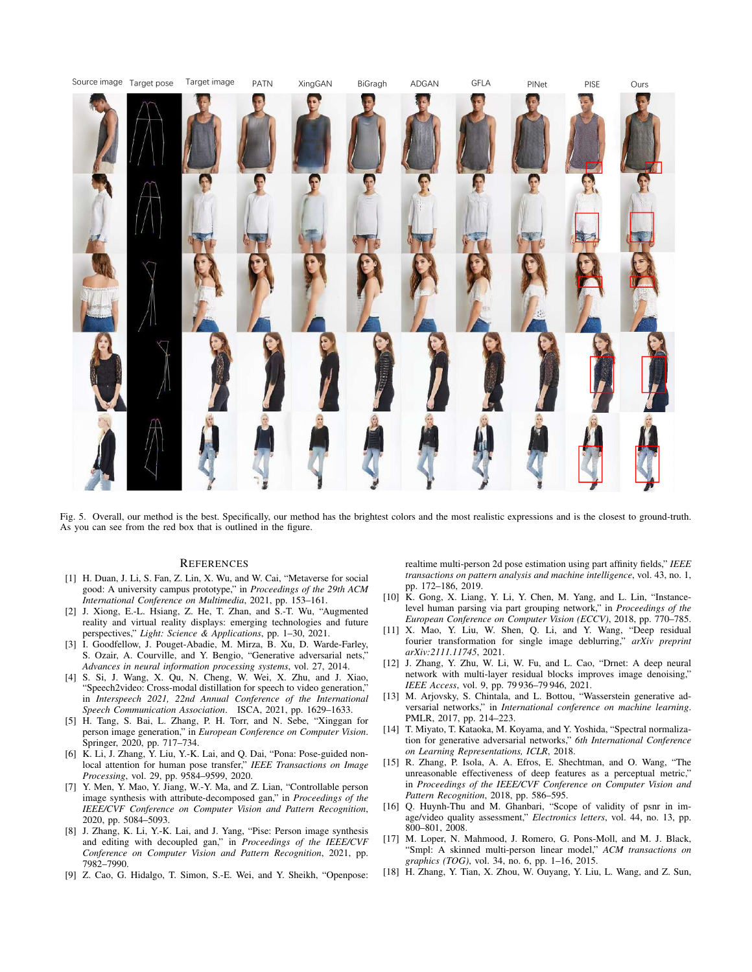

Fig. 5. Overall, our method is the best. Specifically, our method has the brightest colors and the most realistic expressions and is the closest to ground-truth. As you can see from the red box that is outlined in the figure.

#### **REFERENCES**

- <span id="page-6-18"></span><span id="page-6-0"></span>[1] H. Duan, J. Li, S. Fan, Z. Lin, X. Wu, and W. Cai, "Metaverse for social good: A university campus prototype," in *Proceedings of the 29th ACM International Conference on Multimedia*, 2021, pp. 153–161.
- <span id="page-6-1"></span>[2] J. Xiong, E.-L. Hsiang, Z. He, T. Zhan, and S.-T. Wu, "Augmented reality and virtual reality displays: emerging technologies and future perspectives," *Light: Science & Applications*, pp. 1–30, 2021.
- <span id="page-6-2"></span>[3] I. Goodfellow, J. Pouget-Abadie, M. Mirza, B. Xu, D. Warde-Farley, S. Ozair, A. Courville, and Y. Bengio, "Generative adversarial nets," *Advances in neural information processing systems*, vol. 27, 2014.
- <span id="page-6-3"></span>[4] S. Si, J. Wang, X. Qu, N. Cheng, W. Wei, X. Zhu, and J. Xiao, "Speech2video: Cross-modal distillation for speech to video generation," in *Interspeech 2021, 22nd Annual Conference of the International Speech Communication Association*. ISCA, 2021, pp. 1629–1633.
- <span id="page-6-4"></span>[5] H. Tang, S. Bai, L. Zhang, P. H. Torr, and N. Sebe, "Xinggan for person image generation," in *European Conference on Computer Vision*. Springer, 2020, pp. 717–734.
- <span id="page-6-5"></span>[6] K. Li, J. Zhang, Y. Liu, Y.-K. Lai, and Q. Dai, "Pona: Pose-guided nonlocal attention for human pose transfer," *IEEE Transactions on Image Processing*, vol. 29, pp. 9584–9599, 2020.
- <span id="page-6-6"></span>[7] Y. Men, Y. Mao, Y. Jiang, W.-Y. Ma, and Z. Lian, "Controllable person image synthesis with attribute-decomposed gan," in *Proceedings of the IEEE/CVF Conference on Computer Vision and Pattern Recognition*, 2020, pp. 5084–5093.
- <span id="page-6-7"></span>[8] J. Zhang, K. Li, Y.-K. Lai, and J. Yang, "Pise: Person image synthesis and editing with decoupled gan," in *Proceedings of the IEEE/CVF Conference on Computer Vision and Pattern Recognition*, 2021, pp. 7982–7990.
- <span id="page-6-8"></span>[9] Z. Cao, G. Hidalgo, T. Simon, S.-E. Wei, and Y. Sheikh, "Openpose:

realtime multi-person 2d pose estimation using part affinity fields," *IEEE transactions on pattern analysis and machine intelligence*, vol. 43, no. 1, pp. 172–186, 2019.

- <span id="page-6-9"></span>[10] K. Gong, X. Liang, Y. Li, Y. Chen, M. Yang, and L. Lin, "Instancelevel human parsing via part grouping network," in *Proceedings of the European Conference on Computer Vision (ECCV)*, 2018, pp. 770–785.
- <span id="page-6-10"></span>[11] X. Mao, Y. Liu, W. Shen, Q. Li, and Y. Wang, "Deep residual fourier transformation for single image deblurring," *arXiv preprint arXiv:2111.11745*, 2021.
- <span id="page-6-11"></span>[12] J. Zhang, Y. Zhu, W. Li, W. Fu, and L. Cao, "Drnet: A deep neural network with multi-layer residual blocks improves image denoising," *IEEE Access*, vol. 9, pp. 79 936–79 946, 2021.
- <span id="page-6-12"></span>[13] M. Arjovsky, S. Chintala, and L. Bottou, "Wasserstein generative adversarial networks," in *International conference on machine learning*. PMLR, 2017, pp. 214–223.
- <span id="page-6-13"></span>[14] T. Miyato, T. Kataoka, M. Koyama, and Y. Yoshida, "Spectral normalization for generative adversarial networks," *6th International Conference on Learning Representations, ICLR*, 2018.
- <span id="page-6-14"></span>[15] R. Zhang, P. Isola, A. A. Efros, E. Shechtman, and O. Wang, "The unreasonable effectiveness of deep features as a perceptual metric," in *Proceedings of the IEEE/CVF Conference on Computer Vision and Pattern Recognition*, 2018, pp. 586–595.
- <span id="page-6-15"></span>[16] Q. Huynh-Thu and M. Ghanbari, "Scope of validity of psnr in image/video quality assessment," *Electronics letters*, vol. 44, no. 13, pp. 800–801, 2008.
- <span id="page-6-16"></span>[17] M. Loper, N. Mahmood, J. Romero, G. Pons-Moll, and M. J. Black, "Smpl: A skinned multi-person linear model," *ACM transactions on graphics (TOG)*, vol. 34, no. 6, pp. 1–16, 2015.
- <span id="page-6-17"></span>[18] H. Zhang, Y. Tian, X. Zhou, W. Ouyang, Y. Liu, L. Wang, and Z. Sun,